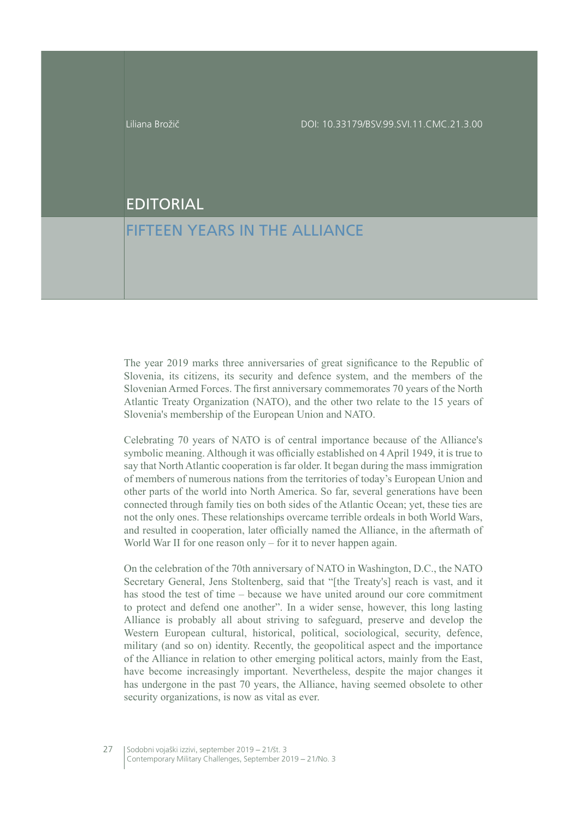## EDITORIAL

## FIFTEEN YEARS IN THE ALLIANCE

The year 2019 marks three anniversaries of great significance to the Republic of Slovenia, its citizens, its security and defence system, and the members of the Slovenian Armed Forces. The first anniversary commemorates 70 years of the North Atlantic Treaty Organization (NATO), and the other two relate to the 15 years of Slovenia's membership of the European Union and NATO.

Celebrating 70 years of NATO is of central importance because of the Alliance's symbolic meaning. Although it was officially established on 4 April 1949, it is true to say that North Atlantic cooperation is far older. It began during the mass immigration of members of numerous nations from the territories of today's European Union and other parts of the world into North America. So far, several generations have been connected through family ties on both sides of the Atlantic Ocean; yet, these ties are not the only ones. These relationships overcame terrible ordeals in both World Wars, and resulted in cooperation, later officially named the Alliance, in the aftermath of World War II for one reason only  $-$  for it to never happen again.

On the celebration of the 70th anniversary of NATO in Washington, D.C., the NATO Secretary General, Jens Stoltenberg, said that "[the Treaty's] reach is vast, and it has stood the test of time – because we have united around our core commitment to protect and defend one another". In a wider sense, however, this long lasting Alliance is probably all about striving to safeguard, preserve and develop the Western European cultural, historical, political, sociological, security, defence, military (and so on) identity. Recently, the geopolitical aspect and the importance of the Alliance in relation to other emerging political actors, mainly from the East, have become increasingly important. Nevertheless, despite the major changes it has undergone in the past 70 years, the Alliance, having seemed obsolete to other security organizations, is now as vital as ever.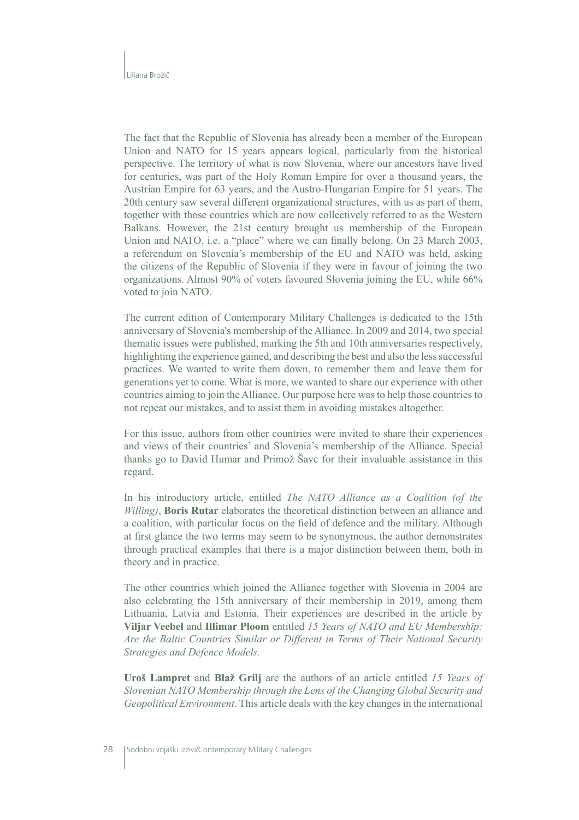The fact that the Republic of Slovenia has already been a member of the European Union and NATO for 15 years appears logical, particularly from the historical perspective. The territory of what is now Slovenia, where our ancestors have lived for centuries, was part of the Holy Roman Empire for over a thousand years, the Austrian Empire for 63 years, and the Austro-Hungarian Empire for 51 years. The 20th century saw several different organizational structures, with us as part of them, together with those countries which are now collectively referred to as the Western Balkans. However, the 21st century brought us membership of the European Union and NATO, i.e. a "place" where we can finally belong. On 23 March 2003, a referendum on Slovenia's membership of the EU and NATO was held, asking the citizens of the Republic of Slovenia if they were in favour of joining the two organizations. Almost 90% of voters favoured Slovenia joining the EU, while 66% voted to join NATO.

The current edition of Contemporary Military Challenges is dedicated to the 15th anniversary of Slovenia's membership of the Alliance. In 2009 and 2014, two special the matic issues were published, marking the 5th and 10th anniversaries respectively, highlighting the experience gained, and describing the best and also the less successful practices. We wanted to write them down, to remember them and leave them for generations yet to come. What is more, we wanted to share our experience with other countries aiming to join the Alliance. Our purpose here was to help those countries to not repeat our mistakes, and to assist them in avoiding mistakes altogether.

For this issue, authors from other countries were invited to share their experiences and views of their countries' and Slovenia's membership of the Alliance. Special thanks go to David Humar and Primož Save for their invaluable assistance in this regard.

In his introductory article, entitled The NATO Alliance as a Coalition (of the Willing), Boris Rutar elaborates the theoretical distinction between an alliance and a coalition, with particular focus on the field of defence and the military. Although at first glance the two terms may seem to be synonymous, the author demonstrates through practical examples that there is a major distinction between them, both in theory and in practice.

The other countries which joined the Alliance together with Slovenia in 2004 are also celebrating the 15th anniversary of their membership in 2019, among them Lithuania, Latvia and Estonia. Their experiences are described in the article by Viljar Veebel and Illimar Ploom entitled 15 Years of NATO and EU Membership: Are the Baltic Countries Similar or Different in Terms of Their National Security Strategies and Defence Models.

Uroš Lampret and Blaž Grilj are the authors of an article entitled 15 Years of Slovenian NATO Membership through the Lens of the Changing Global Security and Geopolitical Environment. This article deals with the key changes in the international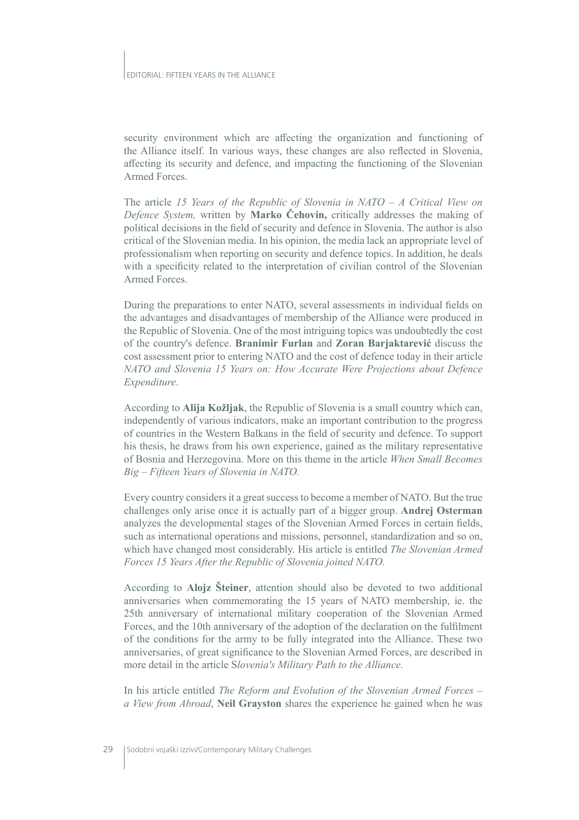security environment which are affecting the organization and functioning of the Alliance itself. In various ways, these changes are also reflected in Slovenia, affecting its security and defence, and impacting the functioning of the Slovenian Armed Forces.

The article 15 Years of the Republic of Slovenia in NATO  $- A$  Critical View on Defence System, written by **Marko Čehovin**, critically addresses the making of political decisions in the field of security and defence in Slovenia. The author is also critical of the Slovenian media. In his opinion, the media lack an appropriate level of professionalism when reporting on security and defence topics. In addition, he deals with a specificity related to the interpretation of civilian control of the Slovenian Armed Forces.

During the preparations to enter NATO, several assessments in individual fields on the advantages and disadvantages of membership of the Alliance were produced in the Republic of Slovenia. One of the most intriguing topics was undoubtedly the cost of the country's defence. Branimir Furlan and Zoran Barjaktarević discuss the cost assessment prior to entering NATO and the cost of defence today in their article NATO and Slovenia 15 Years on: How Accurate Were Projections about Defence Expenditure.

According to Alija Kožljak, the Republic of Slovenia is a small country which can, independently of various indicators, make an important contribution to the progress of countries in the Western Balkans in the field of security and defence. To support his thesis, he draws from his own experience, gained as the military representative of Bosnia and Herzegovina. More on this theme in the article When Small Becomes Big – Fifteen Years of Slovenia in NATO.

Every country considers it a great success to become a member of NATO. But the true challenges only arise once it is actually part of a bigger group. Andrej Osterman analyzes the developmental stages of the Slovenian Armed Forces in certain fields, such as international operations and missions, personnel, standardization and so on, which have changed most considerably. His article is entitled The Slovenian Armed Forces 15 Years After the Republic of Slovenia joined NATO.

According to Alojz Steiner, attention should also be devoted to two additional anniversaries when commemorating the 15 years of NATO membership, ie. the 25th anniversary of international military cooperation of the Slovenian Armed Forces, and the 10th anniversary of the adoption of the declaration on the fulfilment of the conditions for the army to be fully integrated into the Alliance. These two anniversaries, of great significance to the Slovenian Armed Forces, are described in more detail in the article Slovenia's Military Path to the Alliance.

In his article entitled The Reform and Evolution of the Slovenian Armed Forces – a View from Abroad, Neil Grayston shares the experience he gained when he was